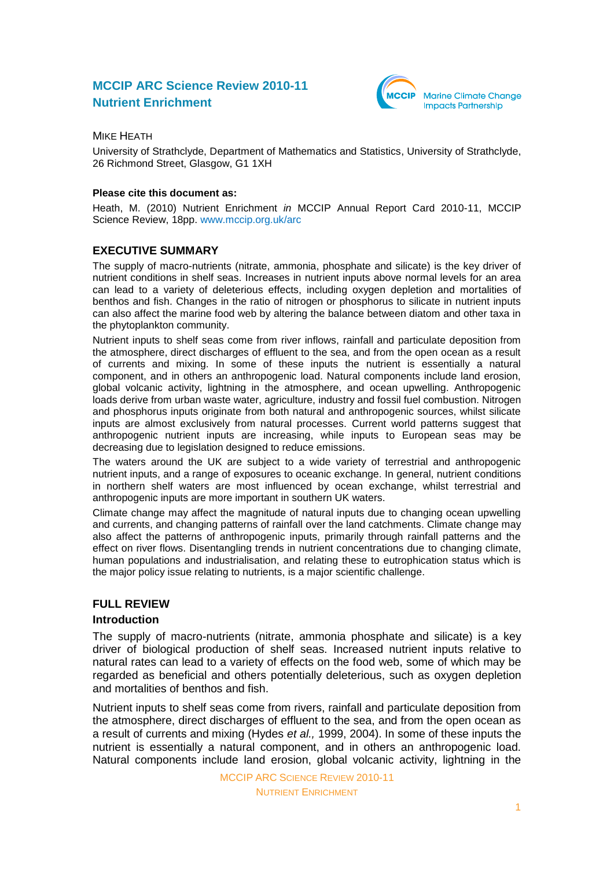# **MCCIP ARC Science Review 2010-11 Nutrient Enrichment**



MIKE HEATH

University of Strathclyde, Department of Mathematics and Statistics, University of Strathclyde, 26 Richmond Street, Glasgow, G1 1XH

#### **Please cite this document as:**

Heath, M. (2010) Nutrient Enrichment *in* MCCIP Annual Report Card 2010-11, MCCIP Science Review, 18pp. [www.mccip.org.uk/arc](http://www.mccip.org.uk/arc)

# **EXECUTIVE SUMMARY**

The supply of macro-nutrients (nitrate, ammonia, phosphate and silicate) is the key driver of nutrient conditions in shelf seas. Increases in nutrient inputs above normal levels for an area can lead to a variety of deleterious effects, including oxygen depletion and mortalities of benthos and fish. Changes in the ratio of nitrogen or phosphorus to silicate in nutrient inputs can also affect the marine food web by altering the balance between diatom and other taxa in the phytoplankton community.

Nutrient inputs to shelf seas come from river inflows, rainfall and particulate deposition from the atmosphere, direct discharges of effluent to the sea, and from the open ocean as a result of currents and mixing. In some of these inputs the nutrient is essentially a natural component, and in others an anthropogenic load. Natural components include land erosion, global volcanic activity, lightning in the atmosphere, and ocean upwelling. Anthropogenic loads derive from urban waste water, agriculture, industry and fossil fuel combustion. Nitrogen and phosphorus inputs originate from both natural and anthropogenic sources, whilst silicate inputs are almost exclusively from natural processes. Current world patterns suggest that anthropogenic nutrient inputs are increasing, while inputs to European seas may be decreasing due to legislation designed to reduce emissions.

The waters around the UK are subject to a wide variety of terrestrial and anthropogenic nutrient inputs, and a range of exposures to oceanic exchange. In general, nutrient conditions in northern shelf waters are most influenced by ocean exchange, whilst terrestrial and anthropogenic inputs are more important in southern UK waters.

Climate change may affect the magnitude of natural inputs due to changing ocean upwelling and currents, and changing patterns of rainfall over the land catchments. Climate change may also affect the patterns of anthropogenic inputs, primarily through rainfall patterns and the effect on river flows. Disentangling trends in nutrient concentrations due to changing climate, human populations and industrialisation, and relating these to eutrophication status which is the major policy issue relating to nutrients, is a major scientific challenge.

### **FULL REVIEW**

### **Introduction**

The supply of macro-nutrients (nitrate, ammonia phosphate and silicate) is a key driver of biological production of shelf seas. Increased nutrient inputs relative to natural rates can lead to a variety of effects on the food web, some of which may be regarded as beneficial and others potentially deleterious, such as oxygen depletion and mortalities of benthos and fish.

Nutrient inputs to shelf seas come from rivers, rainfall and particulate deposition from the atmosphere, direct discharges of effluent to the sea, and from the open ocean as a result of currents and mixing (Hydes *et al.,* 1999, 2004). In some of these inputs the nutrient is essentially a natural component, and in others an anthropogenic load. Natural components include land erosion, global volcanic activity, lightning in the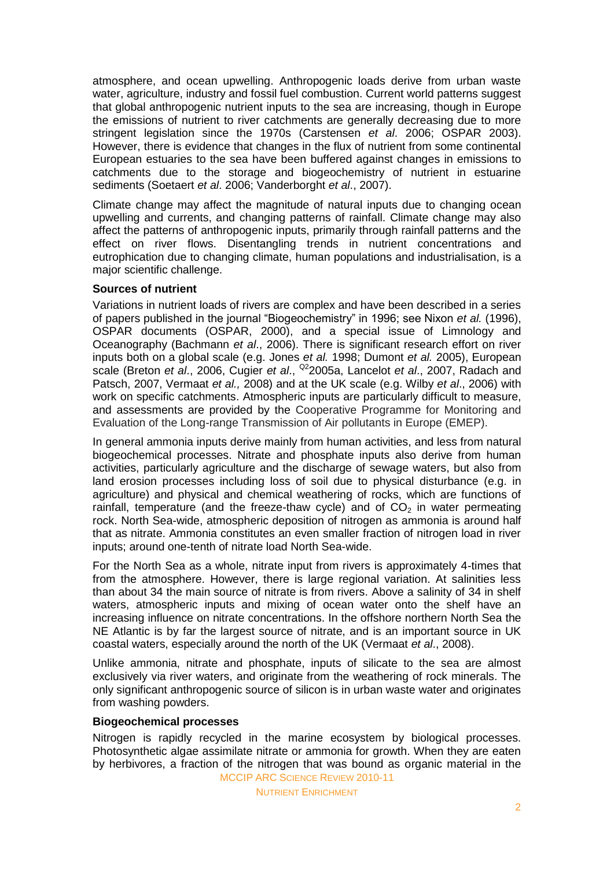atmosphere, and ocean upwelling. Anthropogenic loads derive from urban waste water, agriculture, industry and fossil fuel combustion. Current world patterns suggest that global anthropogenic nutrient inputs to the sea are increasing, though in Europe the emissions of nutrient to river catchments are generally decreasing due to more stringent legislation since the 1970s (Carstensen *et al*. 2006; OSPAR 2003). However, there is evidence that changes in the flux of nutrient from some continental European estuaries to the sea have been buffered against changes in emissions to catchments due to the storage and biogeochemistry of nutrient in estuarine sediments (Soetaert *et al*. 2006; Vanderborght *et al*., 2007).

Climate change may affect the magnitude of natural inputs due to changing ocean upwelling and currents, and changing patterns of rainfall. Climate change may also affect the patterns of anthropogenic inputs, primarily through rainfall patterns and the effect on river flows. Disentangling trends in nutrient concentrations and eutrophication due to changing climate, human populations and industrialisation, is a major scientific challenge.

#### **Sources of nutrient**

Variations in nutrient loads of rivers are complex and have been described in a series of papers published in the journal "Biogeochemistry" in 1996; see Nixon *et al.* (1996), OSPAR documents (OSPAR, 2000), and a special issue of Limnology and Oceanography (Bachmann *et al*., 2006). There is significant research effort on river inputs both on a global scale (e.g. Jones *et al.* 1998; Dumont *et al.* 2005), European scale (Breton *et al*., 2006, Cugier *et al*., Q22005a, Lancelot *et al*., 2007, Radach and Patsch, 2007, Vermaat *et al.,* 2008) and at the UK scale (e.g. Wilby *et al*., 2006) with work on specific catchments. Atmospheric inputs are particularly difficult to measure, and assessments are provided by the Cooperative Programme for Monitoring and Evaluation of the Long-range Transmission of Air pollutants in Europe (EMEP).

In general ammonia inputs derive mainly from human activities, and less from natural biogeochemical processes. Nitrate and phosphate inputs also derive from human activities, particularly agriculture and the discharge of sewage waters, but also from land erosion processes including loss of soil due to physical disturbance (e.g. in agriculture) and physical and chemical weathering of rocks, which are functions of rainfall, temperature (and the freeze-thaw cycle) and of  $CO<sub>2</sub>$  in water permeating rock. North Sea-wide, atmospheric deposition of nitrogen as ammonia is around half that as nitrate. Ammonia constitutes an even smaller fraction of nitrogen load in river inputs; around one-tenth of nitrate load North Sea-wide.

For the North Sea as a whole, nitrate input from rivers is approximately 4-times that from the atmosphere. However, there is large regional variation. At salinities less than about 34 the main source of nitrate is from rivers. Above a salinity of 34 in shelf waters, atmospheric inputs and mixing of ocean water onto the shelf have an increasing influence on nitrate concentrations. In the offshore northern North Sea the NE Atlantic is by far the largest source of nitrate, and is an important source in UK coastal waters, especially around the north of the UK (Vermaat *et al*., 2008).

Unlike ammonia, nitrate and phosphate, inputs of silicate to the sea are almost exclusively via river waters, and originate from the weathering of rock minerals. The only significant anthropogenic source of silicon is in urban waste water and originates from washing powders.

#### **Biogeochemical processes**

MCCIP ARC SCIENCE REVIEW 2010-11 Nitrogen is rapidly recycled in the marine ecosystem by biological processes. Photosynthetic algae assimilate nitrate or ammonia for growth. When they are eaten by herbivores, a fraction of the nitrogen that was bound as organic material in the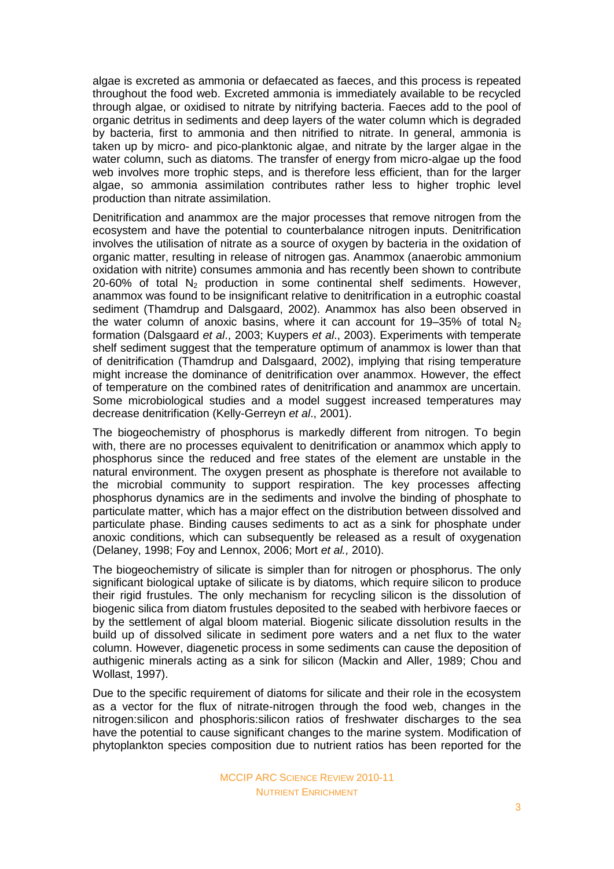algae is excreted as ammonia or defaecated as faeces, and this process is repeated throughout the food web. Excreted ammonia is immediately available to be recycled through algae, or oxidised to nitrate by nitrifying bacteria. Faeces add to the pool of organic detritus in sediments and deep layers of the water column which is degraded by bacteria, first to ammonia and then nitrified to nitrate. In general, ammonia is taken up by micro- and pico-planktonic algae, and nitrate by the larger algae in the water column, such as diatoms. The transfer of energy from micro-algae up the food web involves more trophic steps, and is therefore less efficient, than for the larger algae, so ammonia assimilation contributes rather less to higher trophic level production than nitrate assimilation.

Denitrification and anammox are the major processes that remove nitrogen from the ecosystem and have the potential to counterbalance nitrogen inputs. Denitrification involves the utilisation of nitrate as a source of oxygen by bacteria in the oxidation of organic matter, resulting in release of nitrogen gas. Anammox (anaerobic ammonium oxidation with nitrite) consumes ammonia and has recently been shown to contribute 20-60% of total  $N<sub>2</sub>$  production in some continental shelf sediments. However, anammox was found to be insignificant relative to denitrification in a eutrophic coastal sediment (Thamdrup and Dalsgaard, 2002). Anammox has also been observed in the water column of anoxic basins, where it can account for 19–35% of total  $N_2$ formation (Dalsgaard *et al*., 2003; Kuypers *et al*., 2003). Experiments with temperate shelf sediment suggest that the temperature optimum of anammox is lower than that of denitrification (Thamdrup and Dalsgaard, 2002), implying that rising temperature might increase the dominance of denitrification over anammox. However, the effect of temperature on the combined rates of denitrification and anammox are uncertain. Some microbiological studies and a model suggest increased temperatures may decrease denitrification (Kelly-Gerreyn *et al*., 2001).

The biogeochemistry of phosphorus is markedly different from nitrogen. To begin with, there are no processes equivalent to denitrification or anammox which apply to phosphorus since the reduced and free states of the element are unstable in the natural environment. The oxygen present as phosphate is therefore not available to the microbial community to support respiration. The key processes affecting phosphorus dynamics are in the sediments and involve the binding of phosphate to particulate matter, which has a major effect on the distribution between dissolved and particulate phase. Binding causes sediments to act as a sink for phosphate under anoxic conditions, which can subsequently be released as a result of oxygenation (Delaney, 1998; Foy and Lennox, 2006; Mort *et al.,* 2010).

The biogeochemistry of silicate is simpler than for nitrogen or phosphorus. The only significant biological uptake of silicate is by diatoms, which require silicon to produce their rigid frustules. The only mechanism for recycling silicon is the dissolution of biogenic silica from diatom frustules deposited to the seabed with herbivore faeces or by the settlement of algal bloom material. Biogenic silicate dissolution results in the build up of dissolved silicate in sediment pore waters and a net flux to the water column. However, diagenetic process in some sediments can cause the deposition of authigenic minerals acting as a sink for silicon (Mackin and Aller, 1989; Chou and Wollast, 1997).

Due to the specific requirement of diatoms for silicate and their role in the ecosystem as a vector for the flux of nitrate-nitrogen through the food web, changes in the nitrogen:silicon and phosphoris:silicon ratios of freshwater discharges to the sea have the potential to cause significant changes to the marine system. Modification of phytoplankton species composition due to nutrient ratios has been reported for the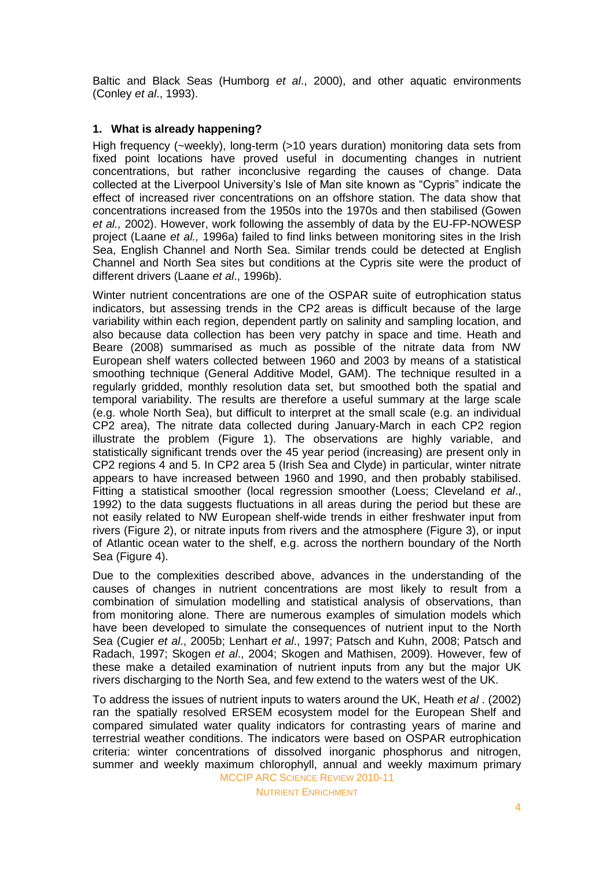Baltic and Black Seas (Humborg *et al*., 2000), and other aquatic environments (Conley *et al*., 1993).

### **1. What is already happening?**

High frequency (~weekly), long-term (>10 years duration) monitoring data sets from fixed point locations have proved useful in documenting changes in nutrient concentrations, but rather inconclusive regarding the causes of change. Data collected at the Liverpool University's Isle of Man site known as "Cypris" indicate the effect of increased river concentrations on an offshore station. The data show that concentrations increased from the 1950s into the 1970s and then stabilised (Gowen *et al.,* 2002). However, work following the assembly of data by the EU-FP-NOWESP project (Laane *et al.,* 1996a) failed to find links between monitoring sites in the Irish Sea, English Channel and North Sea. Similar trends could be detected at English Channel and North Sea sites but conditions at the Cypris site were the product of different drivers (Laane *et al*., 1996b).

Winter nutrient concentrations are one of the OSPAR suite of eutrophication status indicators, but assessing trends in the CP2 areas is difficult because of the large variability within each region, dependent partly on salinity and sampling location, and also because data collection has been very patchy in space and time. Heath and Beare (2008) summarised as much as possible of the nitrate data from NW European shelf waters collected between 1960 and 2003 by means of a statistical smoothing technique (General Additive Model, GAM). The technique resulted in a regularly gridded, monthly resolution data set, but smoothed both the spatial and temporal variability. The results are therefore a useful summary at the large scale (e.g. whole North Sea), but difficult to interpret at the small scale (e.g. an individual CP2 area), The nitrate data collected during January-March in each CP2 region illustrate the problem (Figure 1). The observations are highly variable, and statistically significant trends over the 45 year period (increasing) are present only in CP2 regions 4 and 5. In CP2 area 5 (Irish Sea and Clyde) in particular, winter nitrate appears to have increased between 1960 and 1990, and then probably stabilised. Fitting a statistical smoother (local regression smoother (Loess; Cleveland *et al*., 1992) to the data suggests fluctuations in all areas during the period but these are not easily related to NW European shelf-wide trends in either freshwater input from rivers (Figure 2), or nitrate inputs from rivers and the atmosphere (Figure 3), or input of Atlantic ocean water to the shelf, e.g. across the northern boundary of the North Sea (Figure 4).

Due to the complexities described above, advances in the understanding of the causes of changes in nutrient concentrations are most likely to result from a combination of simulation modelling and statistical analysis of observations, than from monitoring alone. There are numerous examples of simulation models which have been developed to simulate the consequences of nutrient input to the North Sea (Cugier *et al*., 2005b; Lenhart *et al*., 1997; Patsch and Kuhn, 2008; Patsch and Radach, 1997; Skogen *et al*., 2004; Skogen and Mathisen, 2009). However, few of these make a detailed examination of nutrient inputs from any but the major UK rivers discharging to the North Sea, and few extend to the waters west of the UK.

MCCIP ARC SCIENCE REVIEW 2010-11 To address the issues of nutrient inputs to waters around the UK, Heath *et al* . (2002) ran the spatially resolved ERSEM ecosystem model for the European Shelf and compared simulated water quality indicators for contrasting years of marine and terrestrial weather conditions. The indicators were based on OSPAR eutrophication criteria: winter concentrations of dissolved inorganic phosphorus and nitrogen, summer and weekly maximum chlorophyll, annual and weekly maximum primary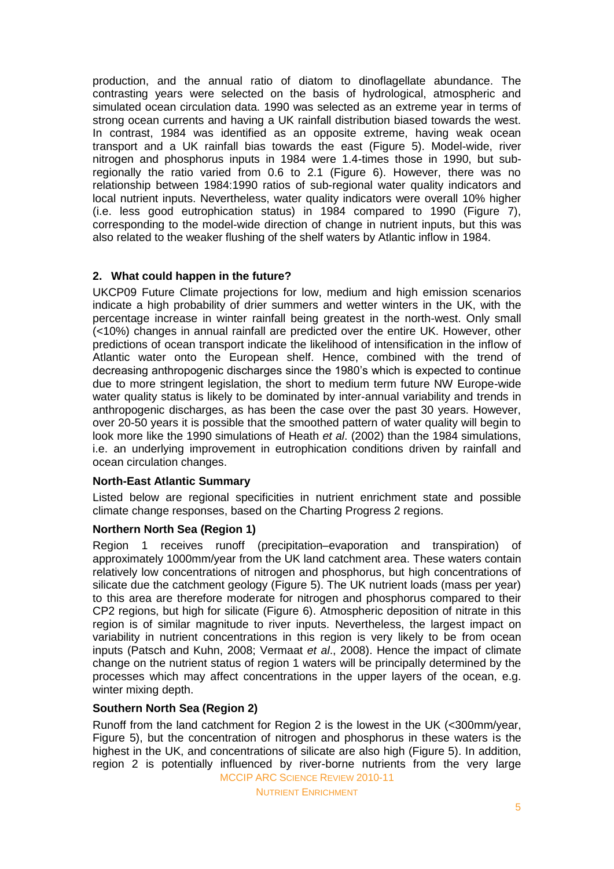production, and the annual ratio of diatom to dinoflagellate abundance. The contrasting years were selected on the basis of hydrological, atmospheric and simulated ocean circulation data. 1990 was selected as an extreme year in terms of strong ocean currents and having a UK rainfall distribution biased towards the west. In contrast, 1984 was identified as an opposite extreme, having weak ocean transport and a UK rainfall bias towards the east (Figure 5). Model-wide, river nitrogen and phosphorus inputs in 1984 were 1.4-times those in 1990, but subregionally the ratio varied from 0.6 to 2.1 (Figure 6). However, there was no relationship between 1984:1990 ratios of sub-regional water quality indicators and local nutrient inputs. Nevertheless, water quality indicators were overall 10% higher (i.e. less good eutrophication status) in 1984 compared to 1990 (Figure 7), corresponding to the model-wide direction of change in nutrient inputs, but this was also related to the weaker flushing of the shelf waters by Atlantic inflow in 1984.

# **2. What could happen in the future?**

UKCP09 Future Climate projections for low, medium and high emission scenarios indicate a high probability of drier summers and wetter winters in the UK, with the percentage increase in winter rainfall being greatest in the north-west. Only small (<10%) changes in annual rainfall are predicted over the entire UK. However, other predictions of ocean transport indicate the likelihood of intensification in the inflow of Atlantic water onto the European shelf. Hence, combined with the trend of decreasing anthropogenic discharges since the 1980's which is expected to continue due to more stringent legislation, the short to medium term future NW Europe-wide water quality status is likely to be dominated by inter-annual variability and trends in anthropogenic discharges, as has been the case over the past 30 years. However, over 20-50 years it is possible that the smoothed pattern of water quality will begin to look more like the 1990 simulations of Heath *et al*. (2002) than the 1984 simulations, i.e. an underlying improvement in eutrophication conditions driven by rainfall and ocean circulation changes.

### **North-East Atlantic Summary**

Listed below are regional specificities in nutrient enrichment state and possible climate change responses, based on the Charting Progress 2 regions.

### **Northern North Sea (Region 1)**

Region 1 receives runoff (precipitation–evaporation and transpiration) of approximately 1000mm/year from the UK land catchment area. These waters contain relatively low concentrations of nitrogen and phosphorus, but high concentrations of silicate due the catchment geology (Figure 5). The UK nutrient loads (mass per year) to this area are therefore moderate for nitrogen and phosphorus compared to their CP2 regions, but high for silicate (Figure 6). Atmospheric deposition of nitrate in this region is of similar magnitude to river inputs. Nevertheless, the largest impact on variability in nutrient concentrations in this region is very likely to be from ocean inputs (Patsch and Kuhn, 2008; Vermaat *et al*., 2008). Hence the impact of climate change on the nutrient status of region 1 waters will be principally determined by the processes which may affect concentrations in the upper layers of the ocean, e.g. winter mixing depth.

### **Southern North Sea (Region 2)**

MCCIP ARC SCIENCE REVIEW 2010-11 Runoff from the land catchment for Region 2 is the lowest in the UK (<300mm/year, Figure 5), but the concentration of nitrogen and phosphorus in these waters is the highest in the UK, and concentrations of silicate are also high (Figure 5). In addition, region 2 is potentially influenced by river-borne nutrients from the very large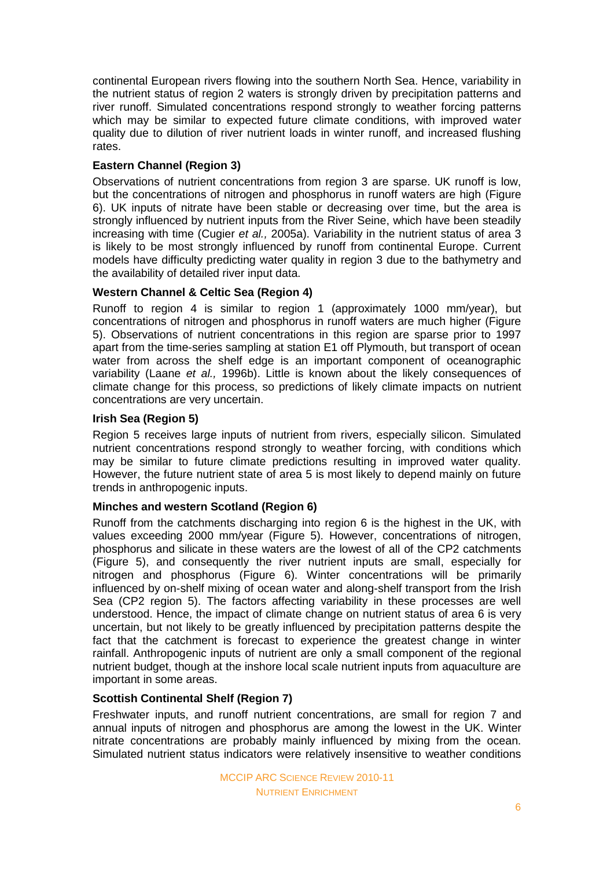continental European rivers flowing into the southern North Sea. Hence, variability in the nutrient status of region 2 waters is strongly driven by precipitation patterns and river runoff. Simulated concentrations respond strongly to weather forcing patterns which may be similar to expected future climate conditions, with improved water quality due to dilution of river nutrient loads in winter runoff, and increased flushing rates.

# **Eastern Channel (Region 3)**

Observations of nutrient concentrations from region 3 are sparse. UK runoff is low, but the concentrations of nitrogen and phosphorus in runoff waters are high (Figure 6). UK inputs of nitrate have been stable or decreasing over time, but the area is strongly influenced by nutrient inputs from the River Seine, which have been steadily increasing with time (Cugier *et al.,* 2005a). Variability in the nutrient status of area 3 is likely to be most strongly influenced by runoff from continental Europe. Current models have difficulty predicting water quality in region 3 due to the bathymetry and the availability of detailed river input data.

# **Western Channel & Celtic Sea (Region 4)**

Runoff to region 4 is similar to region 1 (approximately 1000 mm/year), but concentrations of nitrogen and phosphorus in runoff waters are much higher (Figure 5). Observations of nutrient concentrations in this region are sparse prior to 1997 apart from the time-series sampling at station E1 off Plymouth, but transport of ocean water from across the shelf edge is an important component of oceanographic variability (Laane *et al.,* 1996b). Little is known about the likely consequences of climate change for this process, so predictions of likely climate impacts on nutrient concentrations are very uncertain.

# **Irish Sea (Region 5)**

Region 5 receives large inputs of nutrient from rivers, especially silicon. Simulated nutrient concentrations respond strongly to weather forcing, with conditions which may be similar to future climate predictions resulting in improved water quality. However, the future nutrient state of area 5 is most likely to depend mainly on future trends in anthropogenic inputs.

### **Minches and western Scotland (Region 6)**

Runoff from the catchments discharging into region 6 is the highest in the UK, with values exceeding 2000 mm/year (Figure 5). However, concentrations of nitrogen, phosphorus and silicate in these waters are the lowest of all of the CP2 catchments (Figure 5), and consequently the river nutrient inputs are small, especially for nitrogen and phosphorus (Figure 6). Winter concentrations will be primarily influenced by on-shelf mixing of ocean water and along-shelf transport from the Irish Sea (CP2 region 5). The factors affecting variability in these processes are well understood. Hence, the impact of climate change on nutrient status of area 6 is very uncertain, but not likely to be greatly influenced by precipitation patterns despite the fact that the catchment is forecast to experience the greatest change in winter rainfall. Anthropogenic inputs of nutrient are only a small component of the regional nutrient budget, though at the inshore local scale nutrient inputs from aquaculture are important in some areas.

### **Scottish Continental Shelf (Region 7)**

Freshwater inputs, and runoff nutrient concentrations, are small for region 7 and annual inputs of nitrogen and phosphorus are among the lowest in the UK. Winter nitrate concentrations are probably mainly influenced by mixing from the ocean. Simulated nutrient status indicators were relatively insensitive to weather conditions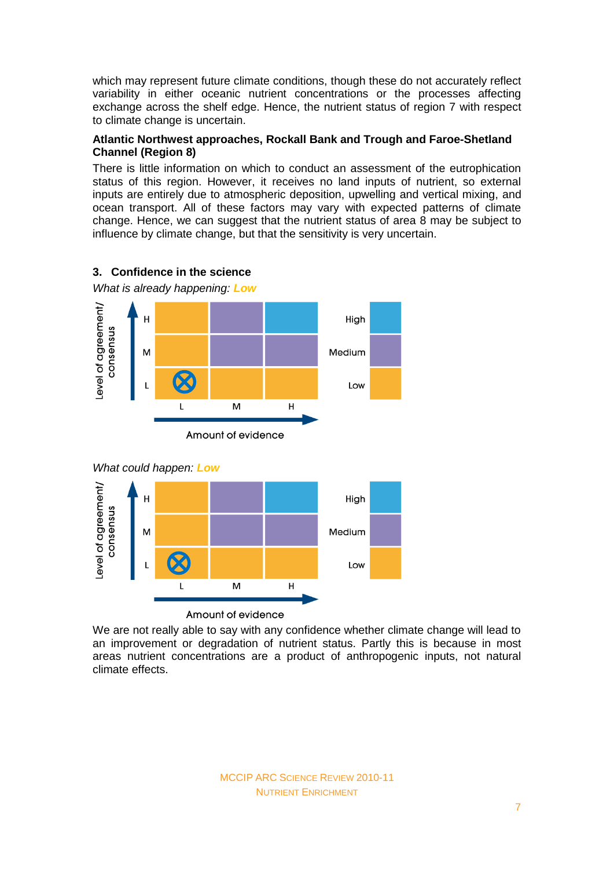which may represent future climate conditions, though these do not accurately reflect variability in either oceanic nutrient concentrations or the processes affecting exchange across the shelf edge. Hence, the nutrient status of region 7 with respect to climate change is uncertain.

# **Atlantic Northwest approaches, Rockall Bank and Trough and Faroe-Shetland Channel (Region 8)**

There is little information on which to conduct an assessment of the eutrophication status of this region. However, it receives no land inputs of nutrient, so external inputs are entirely due to atmospheric deposition, upwelling and vertical mixing, and ocean transport. All of these factors may vary with expected patterns of climate change. Hence, we can suggest that the nutrient status of area 8 may be subject to influence by climate change, but that the sensitivity is very uncertain.



# **3. Confidence in the science**

M

Amount of evidence

We are not really able to say with any confidence whether climate change will lead to an improvement or degradation of nutrient status. Partly this is because in most areas nutrient concentrations are a product of anthropogenic inputs, not natural climate effects.

 $H$ 

Low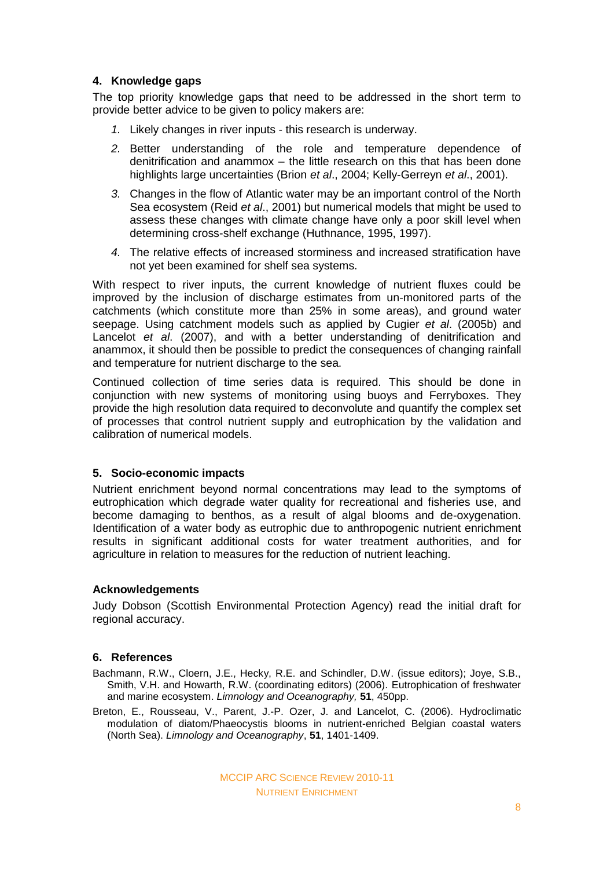# **4. Knowledge gaps**

The top priority knowledge gaps that need to be addressed in the short term to provide better advice to be given to policy makers are:

- *1.* Likely changes in river inputs this research is underway.
- *2.* Better understanding of the role and temperature dependence of denitrification and anammox – the little research on this that has been done highlights large uncertainties (Brion *et al*., 2004; Kelly-Gerreyn *et al*., 2001).
- *3.* Changes in the flow of Atlantic water may be an important control of the North Sea ecosystem (Reid *et al*., 2001) but numerical models that might be used to assess these changes with climate change have only a poor skill level when determining cross-shelf exchange (Huthnance, 1995, 1997).
- *4.* The relative effects of increased storminess and increased stratification have not yet been examined for shelf sea systems.

With respect to river inputs, the current knowledge of nutrient fluxes could be improved by the inclusion of discharge estimates from un-monitored parts of the catchments (which constitute more than 25% in some areas), and ground water seepage. Using catchment models such as applied by Cugier *et al*. (2005b) and Lancelot *et al*. (2007), and with a better understanding of denitrification and anammox, it should then be possible to predict the consequences of changing rainfall and temperature for nutrient discharge to the sea.

Continued collection of time series data is required. This should be done in conjunction with new systems of monitoring using buoys and Ferryboxes. They provide the high resolution data required to deconvolute and quantify the complex set of processes that control nutrient supply and eutrophication by the validation and calibration of numerical models.

### **5. Socio-economic impacts**

Nutrient enrichment beyond normal concentrations may lead to the symptoms of eutrophication which degrade water quality for recreational and fisheries use, and become damaging to benthos, as a result of algal blooms and de-oxygenation. Identification of a water body as eutrophic due to anthropogenic nutrient enrichment results in significant additional costs for water treatment authorities, and for agriculture in relation to measures for the reduction of nutrient leaching.

### **Acknowledgements**

Judy Dobson (Scottish Environmental Protection Agency) read the initial draft for regional accuracy.

### **6. References**

- Bachmann, R.W., Cloern, J.E., Hecky, R.E. and Schindler, D.W. (issue editors); Joye, S.B., Smith, V.H. and Howarth, R.W. (coordinating editors) (2006). Eutrophication of freshwater and marine ecosystem. *Limnology and Oceanography,* **51**, 450pp.
- Breton, E., Rousseau, V., Parent, J.-P. Ozer, J. and Lancelot, C. (2006). Hydroclimatic modulation of diatom/Phaeocystis blooms in nutrient-enriched Belgian coastal waters (North Sea). *Limnology and Oceanography*, **51**, 1401-1409.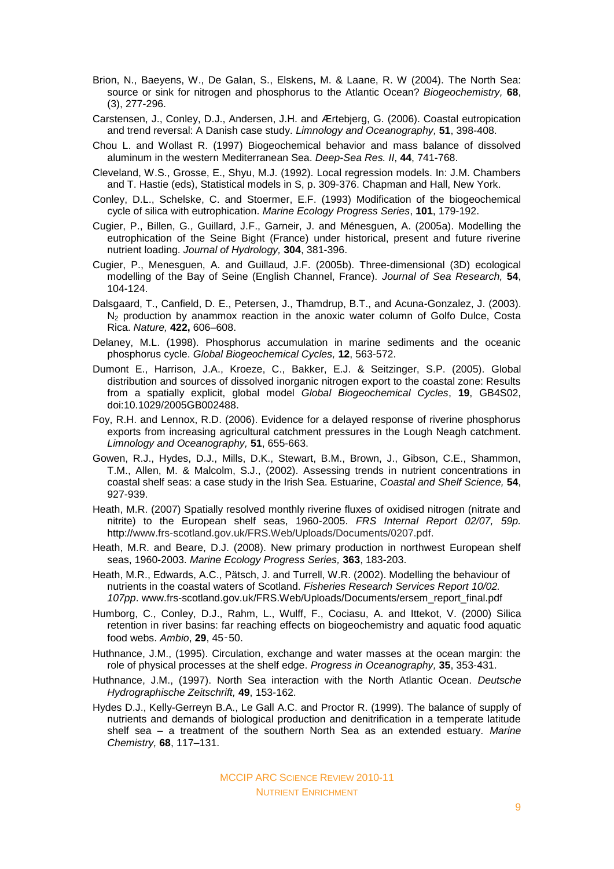- Brion, N., Baeyens, W., De Galan, S., Elskens, M. & Laane, R. W (2004). The North Sea: source or sink for nitrogen and phosphorus to the Atlantic Ocean? *Biogeochemistry,* **68**, (3), 277-296.
- Carstensen, J., Conley, D.J., Andersen, J.H. and Ærtebjerg, G. (2006). Coastal eutropication and trend reversal: A Danish case study. *Limnology and Oceanography,* **51**, 398-408.
- Chou L. and Wollast R. (1997) Biogeochemical behavior and mass balance of dissolved aluminum in the western Mediterranean Sea. *Deep-Sea Res. II*, **44**, 741-768.
- Cleveland, W.S., Grosse, E., Shyu, M.J. (1992). Local regression models. In: J.M. Chambers and T. Hastie (eds), Statistical models in S, p. 309-376. Chapman and Hall, New York.
- Conley, D.L., Schelske, C. and Stoermer, E.F. (1993) Modification of the biogeochemical cycle of silica with eutrophication. *Marine Ecology Progress Series*, **101**, 179-192.
- Cugier, P., Billen, G., Guillard, J.F., Garneir, J. and Ménesguen, A. (2005a). Modelling the eutrophication of the Seine Bight (France) under historical, present and future riverine nutrient loading. *Journal of Hydrology,* **304**, 381-396.
- Cugier, P., Menesguen, A. and Guillaud, J.F. (2005b). Three-dimensional (3D) ecological modelling of the Bay of Seine (English Channel, France). *Journal of Sea Research,* **54**, 104-124.
- Dalsgaard, T., Canfield, D. E., Petersen, J., Thamdrup, B.T., and Acuna-Gonzalez, J. (2003).  $N<sub>2</sub>$  production by anammox reaction in the anoxic water column of Golfo Dulce, Costa Rica. *Nature,* **422,** 606–608.
- Delaney, M.L. (1998). Phosphorus accumulation in marine sediments and the oceanic phosphorus cycle. *Global Biogeochemical Cycles,* **12**, 563-572.
- Dumont E., Harrison, J.A., Kroeze, C., Bakker, E.J. & Seitzinger, S.P. (2005). Global distribution and sources of dissolved inorganic nitrogen export to the coastal zone: Results from a spatially explicit, global model *Global Biogeochemical Cycles*, **19**, GB4S02, doi:10.1029/2005GB002488.
- Foy, R.H. and Lennox, R.D. (2006). Evidence for a delayed response of riverine phosphorus exports from increasing agricultural catchment pressures in the Lough Neagh catchment. *Limnology and Oceanography,* **51**, 655-663.
- Gowen, R.J., Hydes, D.J., Mills, D.K., Stewart, B.M., Brown, J., Gibson, C.E., Shammon, T.M., Allen, M. & Malcolm, S.J., (2002). Assessing trends in nutrient concentrations in coastal shelf seas: a case study in the Irish Sea. Estuarine, *Coastal and Shelf Science,* **54**, 927-939.
- Heath, M.R. (2007) Spatially resolved monthly riverine fluxes of oxidised nitrogen (nitrate and nitrite) to the European shelf seas, 1960-2005. *FRS Internal Report 02/07, 59p.*  http://www.frs-scotland.gov.uk/FRS.Web/Uploads/Documents/0207.pdf.
- Heath, M.R. and Beare, D.J. (2008). New primary production in northwest European shelf seas, 1960-2003. *Marine Ecology Progress Series,* **363**, 183-203.
- Heath, M.R., Edwards, A.C., Pätsch, J. and Turrell, W.R. (2002). Modelling the behaviour of nutrients in the coastal waters of Scotland. *Fisheries Research Services Report 10/02. 107pp*. www.frs-scotland.gov.uk/FRS.Web/Uploads/Documents/ersem\_report\_final.pdf
- Humborg, C., Conley, D.J., Rahm, L., Wulff, F., Cociasu, A. and Ittekot, V. (2000) Silica retention in river basins: far reaching effects on biogeochemistry and aquatic food aquatic food webs. *Ambio*, **29**, 45‑50.
- Huthnance, J.M., (1995). Circulation, exchange and water masses at the ocean margin: the role of physical processes at the shelf edge. *Progress in Oceanography,* **35**, 353-431.
- Huthnance, J.M., (1997). North Sea interaction with the North Atlantic Ocean. *Deutsche Hydrographische Zeitschrift,* **49**, 153-162.
- Hydes D.J., Kelly-Gerreyn B.A., Le Gall A.C. and Proctor R. (1999). The balance of supply of nutrients and demands of biological production and denitrification in a temperate latitude shelf sea – a treatment of the southern North Sea as an extended estuary. *Marine Chemistry,* **68**, 117–131.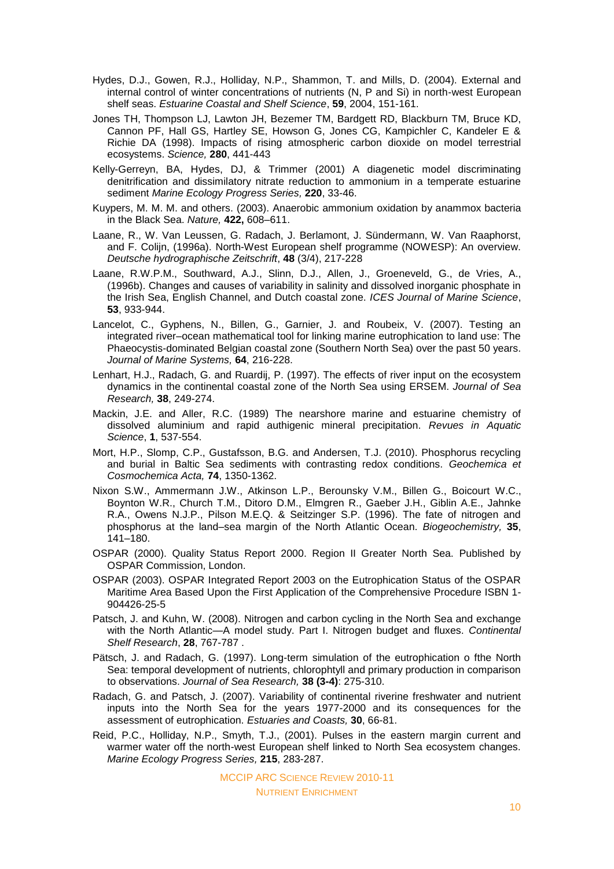- Hydes, D.J., Gowen, R.J., Holliday, N.P., Shammon, T. and Mills, D. (2004). External and internal control of winter concentrations of nutrients (N, P and Si) in north-west European shelf seas. *Estuarine Coastal and Shelf Science*, **59**, 2004, 151-161.
- Jones TH, Thompson LJ, Lawton JH, Bezemer TM, Bardgett RD, Blackburn TM, Bruce KD, Cannon PF, Hall GS, Hartley SE, Howson G, Jones CG, Kampichler C, Kandeler E & Richie DA (1998). Impacts of rising atmospheric carbon dioxide on model terrestrial ecosystems. *Science,* **280**, 441-443
- Kelly-Gerreyn, BA, Hydes, DJ, & Trimmer (2001) A diagenetic model discriminating denitrification and dissimilatory nitrate reduction to ammonium in a temperate estuarine sediment *Marine Ecology Progress Series,* **220**, 33-46.
- Kuypers, M. M. M. and others. (2003). Anaerobic ammonium oxidation by anammox bacteria in the Black Sea. *Nature,* **422,** 608–611.
- Laane, R., W. Van Leussen, G. Radach, J. Berlamont, J. Sündermann, W. Van Raaphorst, and F. Colijn, (1996a). North-West European shelf programme (NOWESP): An overview. *Deutsche hydrographische Zeitschrift*, **48** (3/4), 217-228
- Laane, R.W.P.M., Southward, A.J., Slinn, D.J., Allen, J., Groeneveld, G., de Vries, A., (1996b). Changes and causes of variability in salinity and dissolved inorganic phosphate in the Irish Sea, English Channel, and Dutch coastal zone. *ICES Journal of Marine Science*, **53**, 933-944.
- Lancelot, C., Gyphens, N., Billen, G., Garnier, J. and Roubeix, V. (2007). Testing an integrated river–ocean mathematical tool for linking marine eutrophication to land use: The Phaeocystis-dominated Belgian coastal zone (Southern North Sea) over the past 50 years. *Journal of Marine Systems,* **64**, 216-228.
- Lenhart, H.J., Radach, G. and Ruardij, P. (1997). The effects of river input on the ecosystem dynamics in the continental coastal zone of the North Sea using ERSEM. *Journal of Sea Research,* **38**, 249-274.
- Mackin, J.E. and Aller, R.C. (1989) The nearshore marine and estuarine chemistry of dissolved aluminium and rapid authigenic mineral precipitation. *Revues in Aquatic Science*, **1**, 537-554.
- Mort, H.P., Slomp, C.P., Gustafsson, B.G. and Andersen, T.J. (2010). Phosphorus recycling and burial in Baltic Sea sediments with contrasting redox conditions. *Geochemica et Cosmochemica Acta,* **74**, 1350-1362.
- Nixon S.W., Ammermann J.W., Atkinson L.P., Berounsky V.M., Billen G., Boicourt W.C., Boynton W.R., Church T.M., Ditoro D.M., Elmgren R., Gaeber J.H., Giblin A.E., Jahnke R.A., Owens N.J.P., Pilson M.E.Q. & Seitzinger S.P. (1996). The fate of nitrogen and phosphorus at the land–sea margin of the North Atlantic Ocean. *Biogeochemistry,* **35**, 141–180.
- OSPAR (2000). Quality Status Report 2000. Region II Greater North Sea. Published by OSPAR Commission, London.
- OSPAR (2003). OSPAR Integrated Report 2003 on the Eutrophication Status of the OSPAR Maritime Area Based Upon the First Application of the Comprehensive Procedure ISBN 1- 904426-25-5
- Patsch, J. and Kuhn, W. (2008). Nitrogen and carbon cycling in the North Sea and exchange with the North Atlantic—A model study. Part I. Nitrogen budget and fluxes. *Continental Shelf Research*, **28**, 767-787 .
- Pätsch, J. and Radach, G. (1997). Long-term simulation of the eutrophication o fthe North Sea: temporal development of nutrients, chlorophtyll and primary production in comparison to observations. *Journal of Sea Research,* **38 (3-4)**: 275-310.
- Radach, G. and Patsch, J. (2007). Variability of continental riverine freshwater and nutrient inputs into the North Sea for the years 1977-2000 and its consequences for the assessment of eutrophication. *Estuaries and Coasts,* **30**, 66-81.
- Reid, P.C., Holliday, N.P., Smyth, T.J., (2001). Pulses in the eastern margin current and warmer water off the north-west European shelf linked to North Sea ecosystem changes. *Marine Ecology Progress Series,* **215**, 283-287.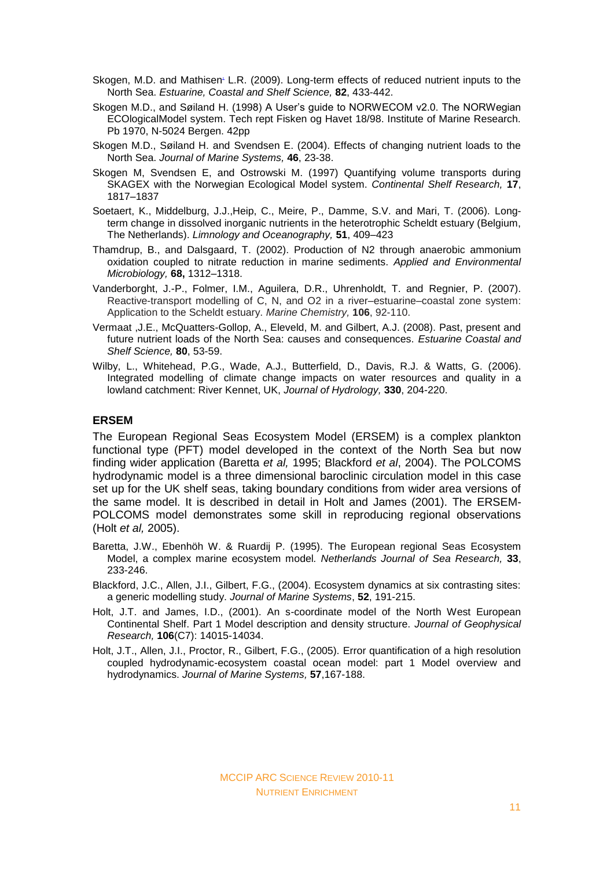- Skoge[n](http://www.sciencedirect.com/science?_ob=ArticleURL&_udi=B6WDV-4VNH454-2&_user=10&_coverDate=04%2F30%2F2009&_rdoc=1&_fmt=high&_orig=search&_sort=d&_docanchor=&view=c&_searchStrId=1330902207&_rerunOrigin=google&_acct=C000050221&_version=1&_urlVersion=0&_userid=10&md5=cc088632becb2eeaf83b84729b69ff8f#aff3#aff3), M.D. and Mathisen L.R. (2009). Long-term effects of reduced nutrient inputs to the North Sea. *Estuarine, Coastal and Shelf Science,* **82**, 433-442.
- Skogen M.D., and Søiland H. (1998) A User's guide to NORWECOM v2.0. The NORWegian ECOlogicalModel system. Tech rept Fisken og Havet 18/98. Institute of Marine Research. Pb 1970, N-5024 Bergen. 42pp
- Skogen M.D., Søiland H. and Svendsen E. (2004). Effects of changing nutrient loads to the North Sea. *Journal of Marine Systems,* **46**, 23-38.
- Skogen M, Svendsen E, and Ostrowski M. (1997) Quantifying volume transports during SKAGEX with the Norwegian Ecological Model system. *Continental Shelf Research,* **17**, 1817–1837
- Soetaert, K., Middelburg, J.J.,Heip, C., Meire, P., Damme, S.V. and Mari, T. (2006). Longterm change in dissolved inorganic nutrients in the heterotrophic Scheldt estuary (Belgium, The Netherlands). *Limnology and Oceanography,* **51**, 409–423
- Thamdrup, B., and Dalsgaard, T. (2002). Production of N2 through anaerobic ammonium oxidation coupled to nitrate reduction in marine sediments. *Applied and Environmental Microbiology,* **68,** 1312–1318.
- Vanderborght, J.-P., Folmer, I.M., Aguilera, D.R., Uhrenholdt, T. and Regnier, P. (2007). Reactive-transport modelling of C, N, and O2 in a river–estuarine–coastal zone system: Application to the Scheldt estuary. *Marine Chemistry,* **106**, 92-110.
- Vermaat ,J.E., McQuatters-Gollop, A., Eleveld, M. and Gilbert, A.J. (2008). Past, present and future nutrient loads of the North Sea: causes and consequences. *Estuarine Coastal and Shelf Science,* **80**, 53-59.
- Wilby, L., Whitehead, P.G., Wade, A.J., Butterfield, D., Davis, R.J. & Watts, G. (2006). Integrated modelling of climate change impacts on water resources and quality in a lowland catchment: River Kennet, UK, *Journal of Hydrology,* **330**, 204-220.

#### **ERSEM**

The European Regional Seas Ecosystem Model (ERSEM) is a complex plankton functional type (PFT) model developed in the context of the North Sea but now finding wider application (Baretta *et al,* 1995; Blackford *et al*, 2004). The POLCOMS hydrodynamic model is a three dimensional baroclinic circulation model in this case set up for the UK shelf seas, taking boundary conditions from wider area versions of the same model. It is described in detail in Holt and James (2001). The ERSEM-POLCOMS model demonstrates some skill in reproducing regional observations (Holt *et al,* 2005).

- Baretta, J.W., Ebenhöh W. & Ruardij P. (1995). The European regional Seas Ecosystem Model, a complex marine ecosystem model*. Netherlands Journal of Sea Research,* **33**, 233-246.
- Blackford, J.C., Allen, J.I., Gilbert, F.G., (2004). Ecosystem dynamics at six contrasting sites: a generic modelling study. *Journal of Marine Systems*, **52**, 191-215.
- Holt, J.T. and James, I.D., (2001). An s-coordinate model of the North West European Continental Shelf. Part 1 Model description and density structure. *Journal of Geophysical Research,* **106**(C7): 14015-14034.
- Holt, J.T., Allen, J.I., Proctor, R., Gilbert, F.G., (2005). Error quantification of a high resolution coupled hydrodynamic-ecosystem coastal ocean model: part 1 Model overview and hydrodynamics. *Journal of Marine Systems,* **57**,167-188.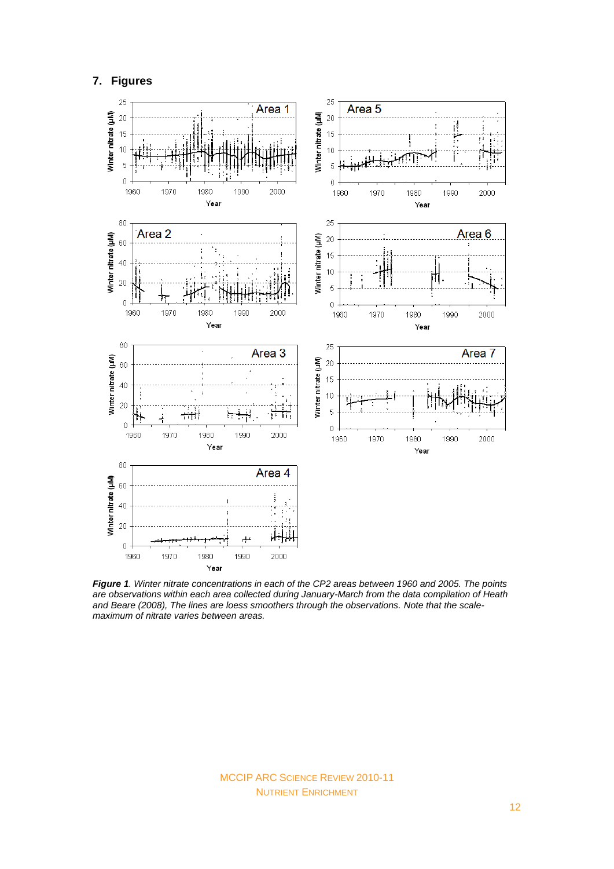#### **7. Figures**



*Figure 1. Winter nitrate concentrations in each of the CP2 areas between 1960 and 2005. The points are observations within each area collected during January-March from the data compilation of Heath and Beare (2008), The lines are loess smoothers through the observations. Note that the scalemaximum of nitrate varies between areas.*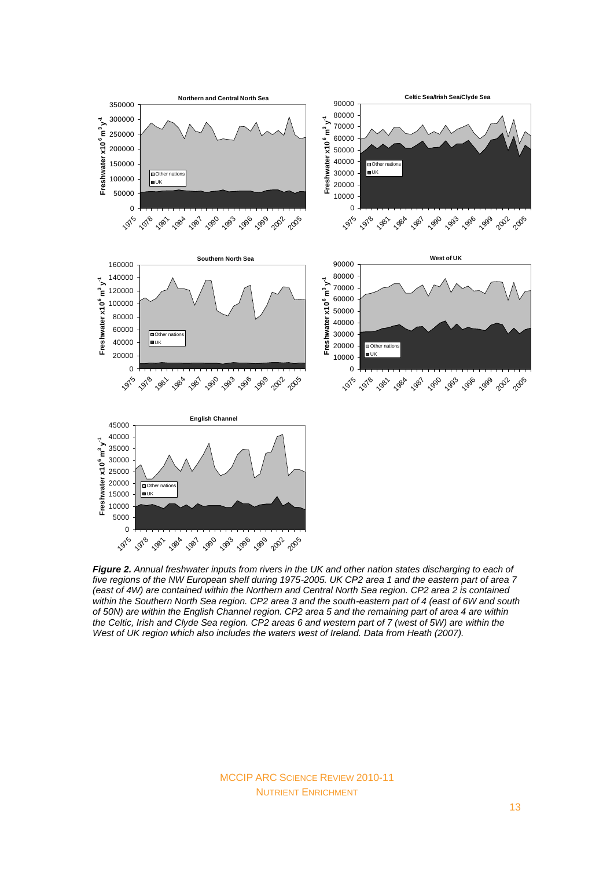

*Figure 2. Annual freshwater inputs from rivers in the UK and other nation states discharging to each of five regions of the NW European shelf during 1975-2005. UK CP2 area 1 and the eastern part of area 7 (east of 4W) are contained within the Northern and Central North Sea region. CP2 area 2 is contained within the Southern North Sea region. CP2 area 3 and the south-eastern part of 4 (east of 6W and south of 50N) are within the English Channel region. CP2 area 5 and the remaining part of area 4 are within the Celtic, Irish and Clyde Sea region. CP2 areas 6 and western part of 7 (west of 5W) are within the West of UK region which also includes the waters west of Ireland. Data from Heath (2007).*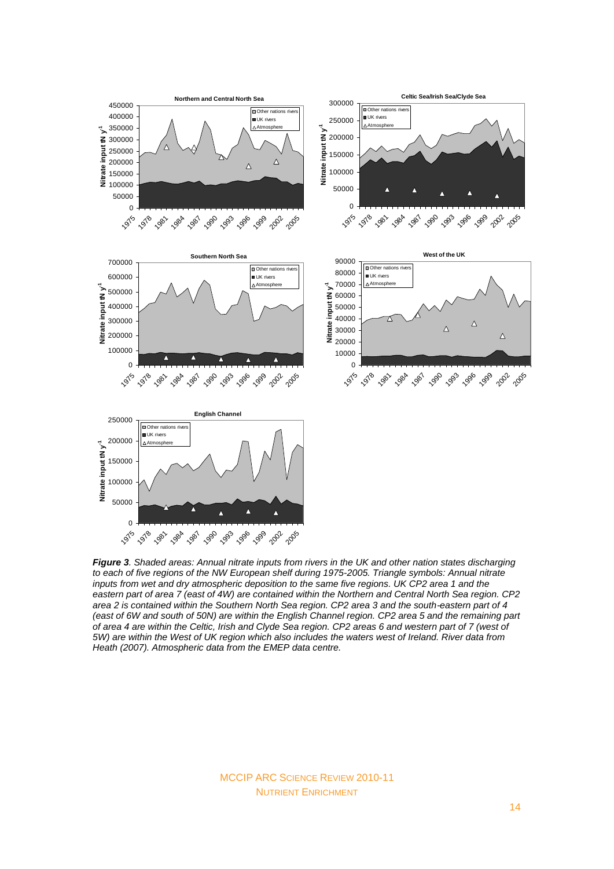

*Figure 3. Shaded areas: Annual nitrate inputs from rivers in the UK and other nation states discharging to each of five regions of the NW European shelf during 1975-2005. Triangle symbols: Annual nitrate inputs from wet and dry atmospheric deposition to the same five regions. UK CP2 area 1 and the eastern part of area 7 (east of 4W) are contained within the Northern and Central North Sea region. CP2 area 2 is contained within the Southern North Sea region. CP2 area 3 and the south-eastern part of 4 (east of 6W and south of 50N) are within the English Channel region. CP2 area 5 and the remaining part of area 4 are within the Celtic, Irish and Clyde Sea region. CP2 areas 6 and western part of 7 (west of 5W) are within the West of UK region which also includes the waters west of Ireland. River data from Heath (2007). Atmospheric data from the EMEP data centre.*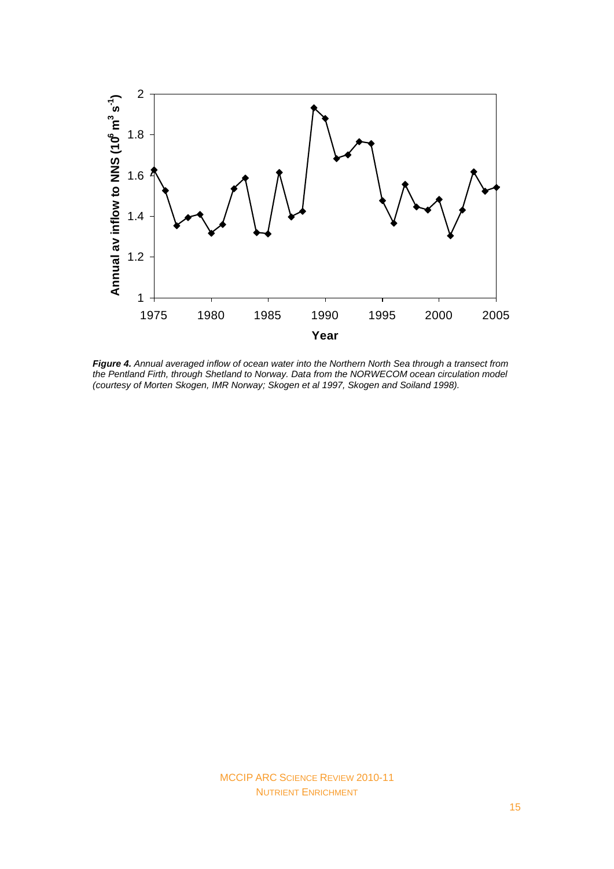

*Figure 4. Annual averaged inflow of ocean water into the Northern North Sea through a transect from the Pentland Firth, through Shetland to Norway. Data from the NORWECOM ocean circulation model (courtesy of Morten Skogen, IMR Norway; Skogen et al 1997, Skogen and Soiland 1998).*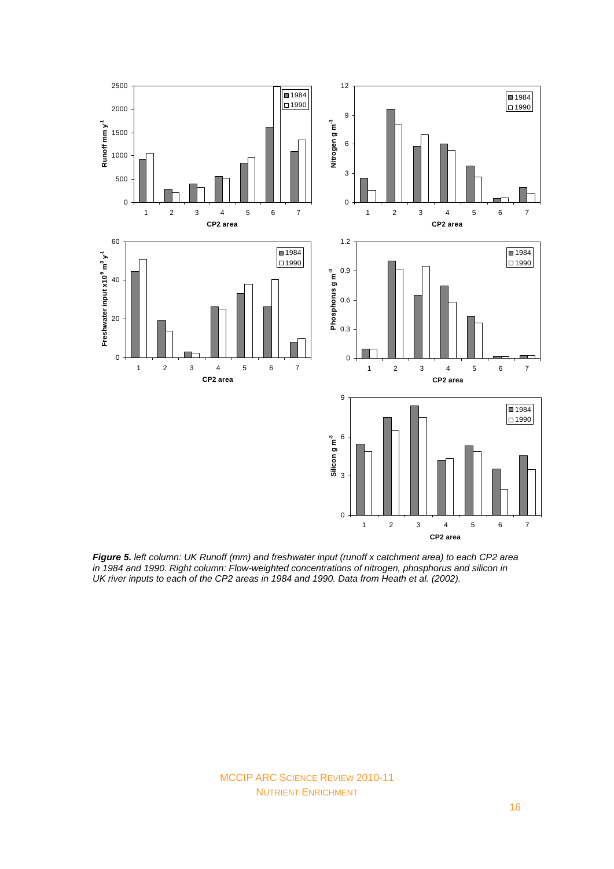

*Figure 5. left column: UK Runoff (mm) and freshwater input (runoff x catchment area) to each CP2 area in 1984 and 1990. Right column: Flow-weighted concentrations of nitrogen, phosphorus and silicon in UK river inputs to each of the CP2 areas in 1984 and 1990. Data from Heath et al. (2002).*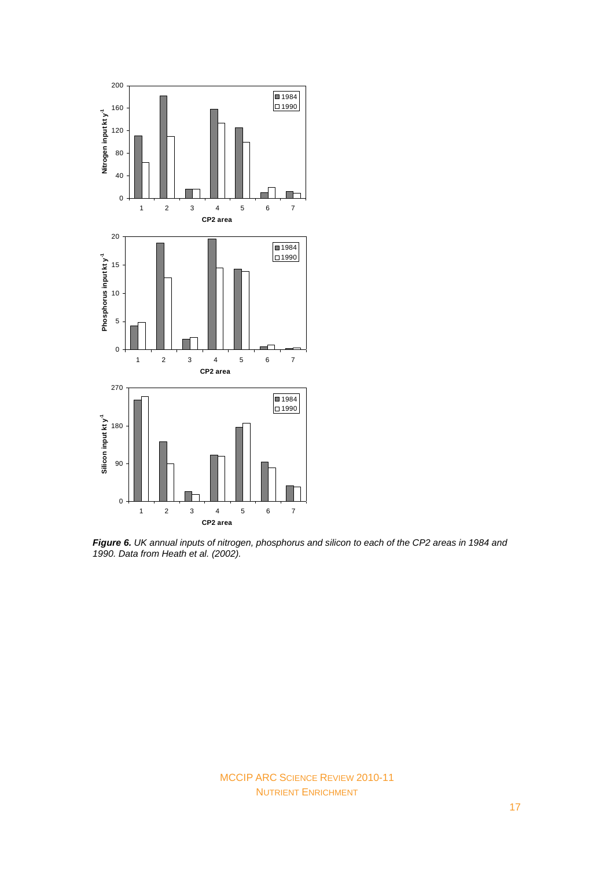

*Figure 6. UK annual inputs of nitrogen, phosphorus and silicon to each of the CP2 areas in 1984 and 1990. Data from Heath et al. (2002).*